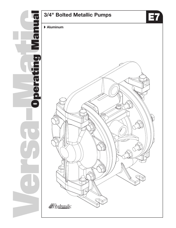

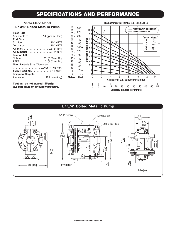# **SPECIFICATIONS AND PERFORMANCE**

### Versa-Matic Model **E7 3/4" Bolted Metallic Pump**

**Caution: do not exceed 125 psig (8.5 bar) liquid or air supply pressure.**



#### **E7 3/4" Bolted Metallic Pump**3/4" NPT Discharge 6.25 3/8" NPT Air Inlet 4.00 [15.9]  $[10.2]$ 3.25 3/8" NPT Air Exhaust [8.3] C 9.35 [23.7] 7.39 5.26 [13.4] [18.8] 4.38 5.98 [11.1] 9.87  $[15.2]$ [25.1] 1.13 .95 [2.9] 3/4"NPT Inlet 7.36 [18.7] [2.4] Inches [mm]

**Versa-Matic® E7 3/4" Bolted Metallic OM**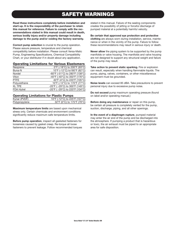### **SAFETY WARNINGS**

**Read these instructions completely before installation and start-up. It is the responsibility of the purchaser to retain this manual for reference. Failure to comply with the recommendations stated in this manual could result in death, serious bodily injury and/or property damage including damage to the pump and/or voiding the factory warranty.**

**Correct pump selection** is crucial to the pump operation. Please assure pressure, temperature and chemical compatibility before installation. Please consult Versa-Matic Pump, Engineering Specifications, Chemical Compatibility Chart, or your distributor if in doubt about any application.

#### **Operating Limitations for Various Elastomers**

| Neoprene      | 0°F (-18°C) to 200°F (93°C)    |
|---------------|--------------------------------|
| Buna-N        | 10°F (-12°C) to 180°F (82°C)   |
| Nordel        | -60°F (-51°C) to 280°F (138°C) |
| Viton         | -40°F (-40°C) to 350°F (176°C) |
| <b>PTFE</b>   | 40°F (4°C) to 220°F (105°C)    |
| Polyurethane  | 10°F (-12°C) to 170°F (77°C)   |
| <b>XL TPE</b> | -20°F (-29°C) to 300°F (149°C) |
| FDA Hytrel    | -20°F (-29°C) to 220°F (104°C) |
|               |                                |

#### **Operating Limitations for Plastic Pumps**

| Kynar (PVDF)  | 10°F (-12°C) to 225°F (107°C) |
|---------------|-------------------------------|
| Polypropylene | 32°F (0°C) to 175°F (79°C)    |
|               |                               |

**Maximum temperature limits** are based upon mechanical stress only. Certain chemicals and environment conditions significantly reduce maximum safe temperature limits.

**Before pump operation**, inspect all gasketed fasteners for looseness caused by gasket creep. Re-torque all loose fasteners to prevent leakage. Follow recommended torques stated in this manual. Failure of the sealing components creates the possibility of jetting or forceful discharge of pumped material at a potentially harmful velocity.

#### **Be certain that approved eye protection and protective clothing** are always worn during installation, service, maintenance or when in the vicinity of the pump. Failure to follow these recommendations may result in serious injury or death.

**Never allow** the piping system to be supported by the pump manifolds or valve housing. The manifolds and valve housing are not designed to support any structural weight and failure of the pump may result.

**Take action to prevent static sparking.** Fire or explosion can result, especially when handling flammable liquids. The pump, piping, valves, containers, or other miscellaneous equipment must be grounded.

**Noise levels** can exceed 85 dBA. Take precautions to prevent personal injury due to excessive pump noise.

**Do not exceed** pump maximum operating pressure (found on label and/or operating manual.)

**Before doing any maintenance** or repair on this pump, be certain all pressure is completely vented for the pump, suction, discharge, piping, and all other openings.

**In the event of a diaphragm rupture**, pumped material may enter the air end of the pump and be discharged into the atmosphere. If pumping a product that is hazardous or toxic, the air exhaust must be piped to an appropriate area for safe disposition.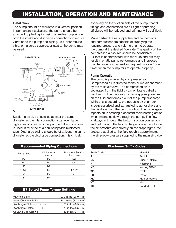### **INSTALLATION, OPERATION AND MAINTENANCE**

### **Installation**

The pump should be mounted in a vertical position. In permanent installations, the pump should be attached to plant piping using a flexible coupling on both the intake and discharge connections to reduce vibration to the pump and piping. To further reduce vibration, a surge suppressor next to the pump may be used.



Suction pipe size should be at least the same diameter as the inlet connection size, even larger if highly viscous fluid is to be pumped. If suction hose is used, it must be of a non-collapsible reinforced type. Discharge piping should be of at least the same diameter as the discharge connection. It is critical,

### **Recommended Piping Connections Elastomer Suffix Codes**

| <b>Pump Size</b> | Minimum Air<br>Line Size | Minimum Suction<br>Line Size |
|------------------|--------------------------|------------------------------|
| 1/2"             | 1/2"                     | 1/2"                         |
| 3/4"             | 1/2"                     | 3/4"                         |
| 1 "              | 1/2"                     | 1"                           |
| $1 - 1/2$ "      | 1/2"                     | $1 - 1/2$ "                  |
| つ"               | 1/2"                     | ?"                           |
| יי 3.            | 3/4"                     | 3"                           |
|                  |                          |                              |

### **E7 Bolted Pump Torque Settings**

| <b>Manifold Bolts</b>      | 230 in-lbs (26.0 N-m) |
|----------------------------|-----------------------|
| <b>Water Chamber Bolts</b> | 100 in-lbs (11.3 N-m) |
| Diaphragm Plates — Rubber  | 75 in-lbs (8.5 N-m)   |
| Diaphragm Plates - PTFE    | 75 in-lbs (8.5 N-m)   |
| Air Valve Cap Screws       | 30 in-lbs (3.4 N-m)   |
|                            |                       |

especially on the suction side of the pump, that all fittings and connections are air tight or pumping efficiency will be reduced and priming will be difficult.

Make certain the air supply line and connections and compressor are capable of supplying the required pressure and volume of air to operate the pump at the desired flow rate. The quality of the compressed air source should be considered. Air that is contaminated with moisture and dirt may result in erratic pump performance and increased maintenance cost as well as frequent process "down time" when the pump fails to operate properly.

#### **Pump Operation**

The pump is powered by compressed air. Compressed air is directed to the pump air chamber by the main air valve. The compressed air is separated from the fluid by a membrane called a diaphragm. The diaphragm in turn applies pressure on the fluid and forces it out of the pump discharge. While this is occurring, the opposite air chamber is de-pressurized and exhausted to atmosphere and fluid is drawn into the pump suction. The cycle again repeats, thus creating a constant reciprocating action which maintains flow through the pump. The flow is always in through the bottom suction connection and out through the top discharge connection. Since the air pressure acts directly on the diaphragms, the pressure applied to the fluid roughly approximates the air supply pressure supplied to the main air valve.

| <b>Suffix Code</b> | Material           |
|--------------------|--------------------|
| Α                  | Acetal             |
| <b>BN</b>          | Buna-N, Nitrile    |
| N                  | Neoprene           |
| <b>ND</b>          | Nordel, EPDM       |
| <b>TF</b>          | <b>PTFE</b>        |
| FG                 | Hytrel             |
| <b>XL</b>          | XL, Santoprene     |
| <b>VT</b>          | Viton              |
| <b>TX</b>          | <b>Bonded PTFE</b> |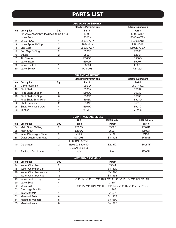# **PARTS LIST**

|      | <b>AIR VALVE ASSEMBLY</b>                                   |      |              |            |  |  |
|------|-------------------------------------------------------------|------|--------------|------------|--|--|
|      | <b>Optional: Aluminum</b><br><b>Standard: Polypropylene</b> |      |              |            |  |  |
| Item | <b>Description</b>                                          | Qty. | Part#        | Part#      |  |  |
|      | Air Valve Assembly (Includes items 1-10)                    |      | E500         | E500-ATEX  |  |  |
|      | Valve Body                                                  |      | E500A        | E500A-ATEX |  |  |
| 2    | <b>Valve Spool</b>                                          |      | E500B ASY    | E500B ASY  |  |  |
| 3    | Valve Spool U-Cup                                           | 2    | P98-104A     | P98-104A   |  |  |
| 4    | End Cap                                                     | 2    | E500D ASY    | E500D-ATEX |  |  |
| 5    | End Cap O-Ring                                              | 2    | E500E        | E500E      |  |  |
| 6    | Staple                                                      | 2    | <b>E500F</b> | E500F      |  |  |
|      | Air Diverter                                                |      | E500G        | E500G      |  |  |
| 8    | Valve Insert                                                |      | E500H        | E500H      |  |  |
| 9    | Valve Gasket                                                |      | E500J        | E500J      |  |  |
| 10   | <b>Valve Screw</b>                                          | 4    | P24-208      | P24-208    |  |  |

|      |                             |      | <b>AIR END ASSEMBLY</b>        |                           |
|------|-----------------------------|------|--------------------------------|---------------------------|
|      |                             |      | <b>Standard: Polypropylene</b> | <b>Optional: Aluminum</b> |
| Item | <b>Description</b>          | Qty. | Part#                          | Part#                     |
| 11   | <b>Center Section</b>       |      | E501A                          | E501A-SC                  |
| 18   | <b>Pilot Shaft</b>          |      | E503A                          | E503A                     |
| 19   | <b>Pilot Shaft Spacer</b>   | 5    | E503C                          | E503C                     |
| 20   | Pilot Shaft O-Ring          | 6    | E503B                          | E503B                     |
| 21   | Pilot Shaft Snap Ring       | っ    | E503D                          | E503D                     |
| 22   | <b>Shaft Retainer</b>       | റ    | E501B                          | E501B                     |
| 25   | <b>Shaft Retainer Screw</b> | 4    | E501C                          | E501C                     |
| 33   | Muffler                     |      | VTM-3                          | VTM-3                     |

|      | <b>DIAPHRAGM ASSEMBLY</b>                               |      |                  |                  |                  |  |
|------|---------------------------------------------------------|------|------------------|------------------|------------------|--|
|      | <b>PTFE Bonded</b><br><b>PTFE 2-Piece</b><br><b>TPE</b> |      |                  |                  |                  |  |
| Item | <b>Description</b>                                      | Qty. | Part#            | Part#            | Part#            |  |
| 34   | Main Shaft O-Ring                                       | ◠    | E502B            | E502B            | E502B            |  |
| 35   | Main Shaft                                              |      | E502A            | E502A            | E502A            |  |
| 37   | Inner Diaphragm Plate                                   | 2    | V <sub>199</sub> | V <sub>199</sub> | V <sub>199</sub> |  |
| 38   | Outer Diaphragm Plate                                   | ∩    | <b>SV199B</b>    | <b>SV199B</b>    | <b>SV199B</b>    |  |
|      |                                                         |      | E505BN E505VT    |                  |                  |  |
| 40   | Diaphragm                                               |      | E505XL E505ND    | E505TX           | E505TF           |  |
|      |                                                         |      | E505N E505FG     |                  |                  |  |
| 41   | Back-Up Diaphragm                                       | ∩    | N/A              | N/A              | E505N            |  |

|      | <b>WET END ASSEMBLY</b> |      |                                                          |  |
|------|-------------------------|------|----------------------------------------------------------|--|
| Item | <b>Description</b>      | Qty. | Part#                                                    |  |
| 44   | Water Chamber           | 2    | E504A                                                    |  |
| 45   | Water Chamber Bolt      | 16   | <b>SV189D</b>                                            |  |
| 46   | Water Chamber Washer    | 16   | <b>SV189C</b>                                            |  |
| 47   | Water Chamber Nut       | 16   | <b>SV185B</b>                                            |  |
| 49   | Valve Seat O-ring       | 4    | V111BN, V111HT, V111ND, V111TES, V111TEV, V111VT, V111XL |  |
| 50   | <b>Valve Seat</b>       | 4    | <b>V110A</b>                                             |  |
| 52   | Valve Ball              | 4    | V111A, V111BN, V111FG, V111SS, V111TF, V111VT, V111SL    |  |
| 53   | Discharge Manifold      |      | V196A                                                    |  |
| 54   | Inlet Manifold          |      | <b>V197A</b>                                             |  |
| 63   | <b>Manifold Bolts</b>   | 8    | <b>SV197F</b>                                            |  |
| 64   | <b>Manifold Washers</b> | 8    | <b>SV196C</b>                                            |  |
| 65   | <b>Manifold Nuts</b>    | 8    | <b>SV197E</b>                                            |  |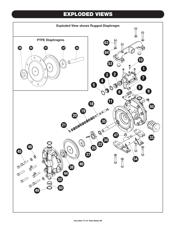# **EXPLODED VIEWS**

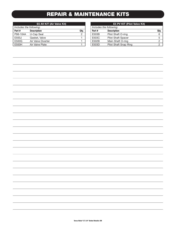# **REPAIR & MAINTENANCE KITS**

|                         | E5 AV KIT (Air Valve Kit) |      |
|-------------------------|---------------------------|------|
| Includes the following: |                           |      |
| Part#                   | <b>Description</b>        | Qty. |
| P98-104A                | U-Cap Seal                | 2    |
| E500J                   | Gasket, Valve             |      |
| E500G                   | Air Valve Diverter        |      |
| E500H                   | Air Valve Plate           |      |

|                         | <b>E5 PV KIT (Pilot Valve Kit)</b> |      |  |
|-------------------------|------------------------------------|------|--|
| Includes the following: |                                    |      |  |
| Part#                   | <b>Description</b>                 | Qty. |  |
| E503B                   | Pilot Shaft O-ring                 | 6    |  |
| E503C                   | <b>Pilot Shaft Spacer</b>          | 5    |  |
| E502B                   | Main Shaft O-ring                  |      |  |
| E503D                   | Pilot Shaft Snap Ring              |      |  |